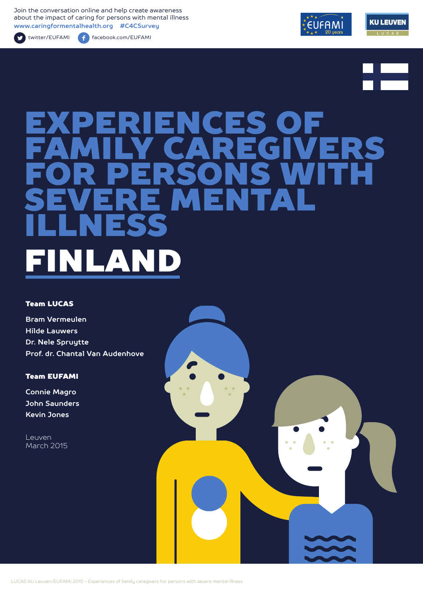Join the conversation online and help create awareness about the impact of caring for persons with mental illness **www.caringformentalhealth.org #C4CSurvey**

twitter/EUFAMI facebook.com/EUFAMI





# RIENCES OF<br>LY CAREGIVI FAMILY CAREGIVERS FOR PERSONS WITH SEVERE MENTAL ILLNESS NICAN

#### Team LUCAS

**Bram Vermeulen Hilde Lauwers Dr. Nele Spruytte Prof. dr. Chantal Van Audenhove**

#### Team EUFAMI

**Connie Magro John Saunders Kevin Jones**

Leuven March 2015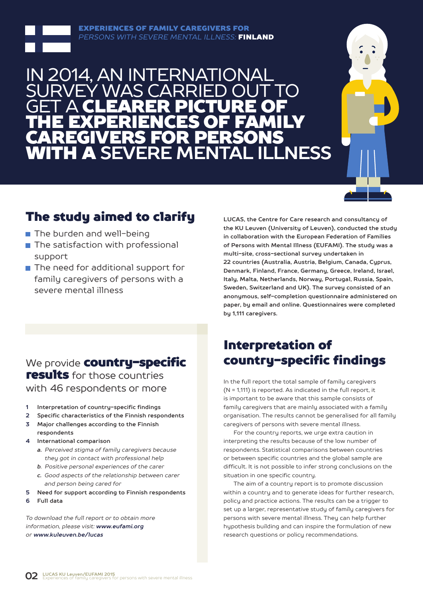

## 014, AN INTERNAT SURVEY WAS CARRIED OUT TO **GET A CLEARER PICTURE OF** THE EXPERIENCES OF FAMILY CAREGIVERS FOR PERSONS WITH A **SEVERE MENTAL ILLNESS**



## The study aimed to clarify

- The burden and well-being
- $\blacksquare$  The satisfaction with professional support
- The need for additional support for family caregivers of persons with a severe mental illness

**LUCAS, the Centre for Care research and consultancy of the KU Leuven (University of Leuven), conducted the study in collaboration with the European Federation of Families of Persons with Mental Illness (EUFAMI). The study was a multi-site, cross-sectional survey undertaken in 22 countries (Australia, Austria, Belgium, Canada, Cyprus, Denmark, Finland, France, Germany, Greece, Ireland, Israel, Italy, Malta, Netherlands, Norway, Portugal, Russia, Spain, Sweden, Switzerland and UK). The survey consisted of an anonymous, self-completion questionnaire administered on paper, by email and online. Questionnaires were completed by 1,111 caregivers.** 

### We provide **country-specific** results for those countries with 46 respondents or more

- **1 Interpretation of country-specific findings**
- **2 Specific characteristics of the Finnish respondents**
- **3 Major challenges according to the Finnish respondents**
- **4 International comparison**
	- *a. Perceived stigma of family caregivers because they got in contact with professional help*
	- *b. Positive personal experiences of the carer*
	- *c. Good aspects of the relationship between carer and person being cared for*
- **5 Need for support according to Finnish respondents**
- **6 Full data**

*To download the full report or to obtain more information, please visit: www.eufami.org or www.kuleuven.be/lucas*

## Interpretation of country-specific findings

In the full report the total sample of family caregivers (N = 1,111) is reported. As indicated in the full report, it is important to be aware that this sample consists of family caregivers that are mainly associated with a family organisation. The results cannot be generalised for all family caregivers of persons with severe mental illness.

For the country reports, we urge extra caution in interpreting the results because of the low number of respondents. Statistical comparisons between countries or between specific countries and the global sample are difficult. It is not possible to infer strong conclusions on the situation in one specific country.

The aim of a country report is to promote discussion within a country and to generate ideas for further research, policy and practice actions. The results can be a trigger to set up a larger, representative study of family caregivers for persons with severe mental illness. They can help further hypothesis building and can inspire the formulation of new research questions or policy recommendations.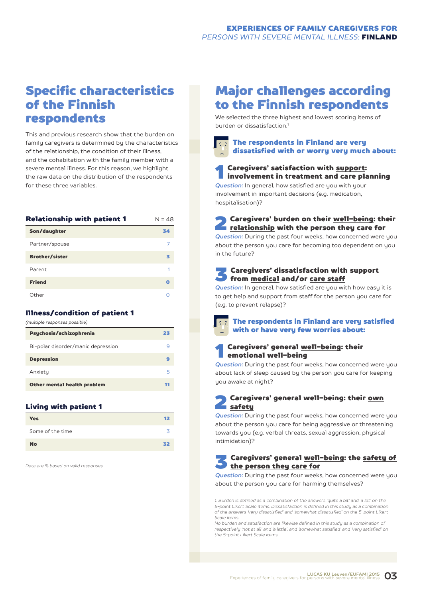## Specific characteristics of the Finnish respondents

This and previous research show that the burden on family caregivers is determined by the characteristics of the relationship, the condition of their illness, and the cohabitation with the family member with a severe mental illness. For this reason, we highlight the raw data on the distribution of the respondents for these three variables.

| Relationship with patient 1 | $N = 48$ |
|-----------------------------|----------|
| Son/daughter                | 34       |
| Partner/spouse              |          |
| <b>Brother/sister</b>       | з        |
| Parent                      | 1        |
| <b>Friend</b>               | Ο        |
| Other                       |          |

#### Illness/condition of patient 1

| (multiple responses possible)      |    |
|------------------------------------|----|
| Psychosis/schizophrenia            | 23 |
| Bi-polar disorder/manic depression | q  |
| <b>Depression</b>                  | 9  |
| Anxiety                            | 5  |
| Other mental health problem        | 11 |
|                                    |    |

#### Living with patient 1

| <b>Yes</b>       | 12 |
|------------------|----|
| Some of the time |    |
| <b>No</b>        | 32 |

*Data are % based on valid responses*

## Major challenges according to the Finnish respondents

We selected the three highest and lowest scoring items of burden or dissatisfaction<sup>1</sup>

#### The respondents in Finland are very dissatisfied with or worry very much about:

## **1** Caregivers' satisfaction with <u>support</u>:<br><u>involvement</u> in treatment and care planning

*Question:* In general, how satisfied are you with your involvement in important decisions (e.g. medication, hospitalisation)?

## **2** Caregivers' burden on their <u>well-being</u>: their<br>relationship with the person they care for

*Question:* During the past four weeks, how concerned were you about the person you care for becoming too dependent on you in the future?

#### 3 Caregivers' dissatisfaction with support from medical and/or care staff

*Question:* In general, how satisfied are you with how easy it is to get help and support from staff for the person you care for (e.g. to prevent relapse)?

The respondents in Finland are very satisfied with or have very few worries about:

#### 1 Caregivers' general well-being: their emotional well-being

*Question:* During the past four weeks, how concerned were you about lack of sleep caused by the person you care for keeping you awake at night?

#### Caregivers' general well-being: their own safety

*Question:* During the past four weeks, how concerned were you about the person you care for being aggressive or threatening towards you (e.g. verbal threats, sexual aggression, physical intimidation)?

#### 3 Caregivers' general well-being: the safety of the person they care for

*Question:* During the past four weeks, how concerned were you about the person you care for harming themselves?

*1. Burden is defined as a combination of the answers 'quite a bit' and 'a lot' on the 5-point Likert Scale items. Dissatisfaction is defined in this study as a combination of the answers 'very dissatisfied' and 'somewhat dissatisfied' on the 5-point Likert Scale items.*

*No burden and satisfaction are likewise defined in this study as a combination of respectively 'not at all' and 'a little', and 'somewhat satisfied' and 'very satisfied' on the 5-point Likert Scale items.*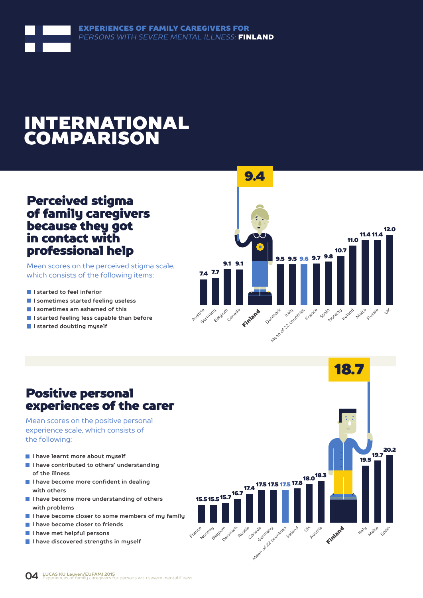## INTERNATIONAL COMPARISON

### Perceived stigma of family caregivers because they got in contact with professional help

Mean scores on the perceived stigma scale, which consists of the following items:

- **I** I started to feel inferior
- **I sometimes started feeling useless**
- **I sometimes am ashamed of this**
- **I started feeling less capable than before**
- **I started doubting myself**



## Positive personal experiences of the carer

Mean scores on the positive personal experience scale, which consists of the following:

- **I have learnt more about myself**
- **I have contributed to others' understanding of the illness**
- **I have become more confident in dealing with others**
- **I have become more understanding of others with problems**
- **I have become closer to some members of my family**
- **I have become closer to friends**
- **I have met helpful persons**
- **I have discovered strengths in myself**

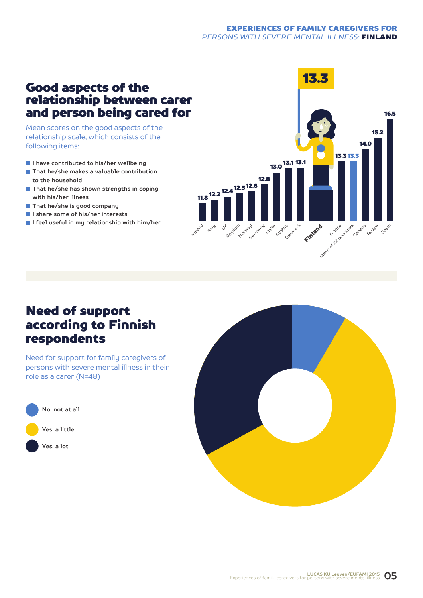## relationship between carer and person being cared for

Mean scores on the good aspects of the relationship scale, which consists of the following items:

- **I have contributed to his/her wellbeing**
- **That he/she makes a valuable contribution to the household**
- **That he/she has shown strengths in coping with his/her illness**
- **That he/she is good company**
- **I share some of his/her interests**
- **I feel useful in my relationship with him/her**



### Need of support according to Finnish respondents

Need for support for family caregivers of persons with severe mental illness in their role as a carer (N=48)



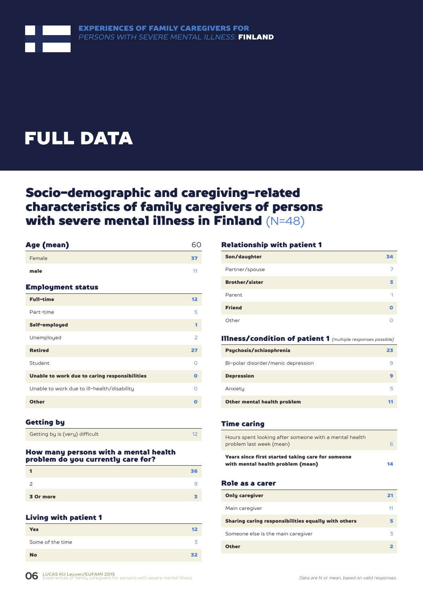

## FULL DATA

## Socio-demographic and caregiving-related characteristics of family caregivers of persons with severe mental illness in Finland (N=48)

| Age (mean)                                    | 60             |
|-----------------------------------------------|----------------|
| Female                                        | 37             |
| male                                          | 11             |
| <b>Employment status</b>                      |                |
| <b>Full-time</b>                              | 12             |
| Part-time                                     | 5              |
| Self-employed                                 | 1              |
| Unemployed                                    | $\overline{2}$ |
| <b>Retired</b>                                | 27             |
| Student                                       | $\Omega$       |
| Unable to work due to caring responsibilities | $\Omega$       |
| Unable to work due to ill-health/disability   | $\Omega$       |
| <b>Other</b>                                  | O              |
|                                               |                |

#### Getting by

Getting by is (very) difficult 12

#### How many persons with a mental health problem do you currently care for?

|           | 6 |
|-----------|---|
|           | 9 |
| 3 Or more |   |

#### Living with patient 1

| <b>Yes</b>       | $12 \,$ |
|------------------|---------|
| Some of the time | z       |
| <b>No</b>        | 32      |

#### Relationship with patient 1

| Son/daughter          | 34 |
|-----------------------|----|
| Partner/spouse        |    |
| <b>Brother/sister</b> | в  |
| Parent                | -1 |
| <b>Friend</b>         | Ω  |
| Other                 |    |

#### Illness/condition of patient 1 *(multiple responses possible)*

| Psychosis/schizophrenia            | 23 |
|------------------------------------|----|
| Bi-polar disorder/manic depression |    |
| <b>Depression</b>                  |    |
| Anxiety                            | 5  |
| Other mental health problem        |    |

#### Time caring

| Hours spent looking after someone with a mental health<br>problem last week (mean)     | r  |
|----------------------------------------------------------------------------------------|----|
| Years since first started taking care for someone<br>with mental health problem (mean) | 14 |

#### Role as a carer

| <b>Only caregiver</b>                               | 21 |
|-----------------------------------------------------|----|
| Main caregiver                                      | 11 |
| Sharing caring responsibilities equally with others |    |
| Someone else is the main caregiver                  | z  |
| <b>Other</b>                                        |    |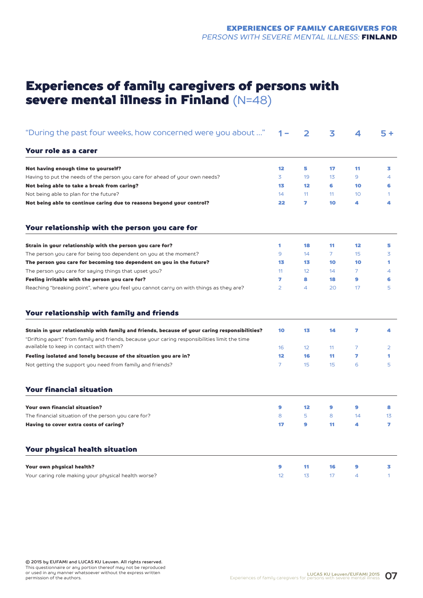## Experiences of family caregivers of persons with severe mental illness in Finland (N=48)

| "During the past four weeks, how concerned were you about "                                                                              | 1 –            | 2  | 3              | $\overline{\mathbf{4}}$ | $5+$         |
|------------------------------------------------------------------------------------------------------------------------------------------|----------------|----|----------------|-------------------------|--------------|
| Your role as a carer                                                                                                                     |                |    |                |                         |              |
| Not having enough time to yourself?                                                                                                      | 12             | 5  | 17             | 11                      | 3            |
| Having to put the needs of the person you care for ahead of your own needs?                                                              | 3              | 19 | 13             | 9                       | 4            |
| Not being able to take a break from caring?                                                                                              | 13             | 12 | 6              | 10                      | 6            |
| Not being able to plan for the future?                                                                                                   | 14             | 11 | 11             | 10                      | 1            |
| Not being able to continue caring due to reasons beyond your control?                                                                    | 22             | 7  | 10             | 4                       | 4            |
| Your relationship with the person you care for                                                                                           |                |    |                |                         |              |
| Strain in your relationship with the person you care for?                                                                                | 1              | 18 | 11             | $12 \overline{ }$       | 5            |
| The person you care for being too dependent on you at the moment?                                                                        | 9              | 14 | $\overline{7}$ | 15                      | 3            |
| The person you care for becoming too dependent on you in the future?                                                                     | 13             | 13 | 10             | 10                      | 1            |
| The person you care for saying things that upset you?                                                                                    | 11             | 12 | 14             | 7                       | 4            |
| Feeling irritable with the person you care for?                                                                                          | 7              | 8  | 18             | 9                       | 6            |
| Reaching "breaking point", where you feel you cannot carry on with things as they are?                                                   | $\overline{2}$ | 4  | 20             | 17                      | 5            |
| Your relationship with family and friends                                                                                                |                |    |                |                         |              |
| Strain in your relationship with family and friends, because of your caring responsibilities?                                            | 10             | 13 | 14             | 7                       | 4            |
| "Drifting apart" from family and friends, because your caring responsibilities limit the time<br>available to keep in contact with them? | 16             | 12 | 11             | $\overline{7}$          | 2            |
| Feeling isolated and lonely because of the situation you are in?                                                                         | 12             | 16 | 11             | 7                       | 1            |
| Not getting the support you need from family and friends?                                                                                | $\overline{7}$ | 15 | 15             | 6                       | 5            |
| <b>Your financial situation</b>                                                                                                          |                |    |                |                         |              |
| Your own financial situation?                                                                                                            | 9              | 12 | 9              | 9                       | 8            |
| The financial situation of the person you care for?                                                                                      | 8              | 5  | 8              | 14                      | 13           |
| Having to cover extra costs of caring?                                                                                                   | 17             | 9  | 11             | 4                       | 7            |
| Your physical health situation                                                                                                           |                |    |                |                         |              |
| Your own physical health?                                                                                                                | 9              | 11 | 16             | 9                       | 3            |
| Your caring role making your physical health worse?                                                                                      | 12             | 13 | 17             | $\overline{4}$          | $\mathbf{1}$ |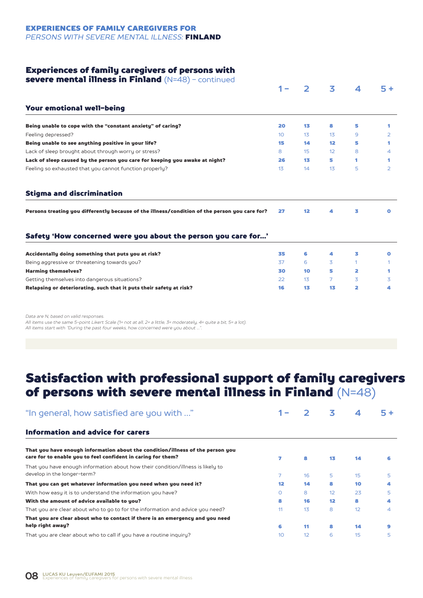#### Experiences of family caregivers of persons with

| <b>severe mental illness in Finland</b> (N=48) - continued                                    |                 |              |    |   |      |
|-----------------------------------------------------------------------------------------------|-----------------|--------------|----|---|------|
|                                                                                               | 1 –             | $\mathbf{2}$ | 3  | 4 | $5+$ |
| Your emotional well-being                                                                     |                 |              |    |   |      |
| Being unable to cope with the "constant anxiety" of caring?                                   | 20              | 13           | 8  | 5 | 1    |
| Feeling depressed?                                                                            | 10 <sup>°</sup> | 13           | 13 | 9 | 2    |
| Being unable to see anything positive in your life?                                           | 15              | 14           | 12 | 5 | 1    |
| Lack of sleep brought about through worry or stress?                                          | 8               | 15           | 12 | 8 | 4    |
| Lack of sleep caused by the person you care for keeping you awake at night?                   | 26              | 13           | 5  | 1 |      |
| Feeling so exhausted that you cannot function properly?                                       | 13              | 14           | 13 | 5 | 2    |
| <b>Stigma and discrimination</b>                                                              |                 |              |    |   |      |
| Persons treating you differently because of the illness/condition of the person you care for? | 27              | 12           | 4  | 3 | o    |
|                                                                                               |                 |              |    |   |      |
| Safety 'How concerned were you about the person you care for'                                 |                 |              |    |   |      |
| Accidentally doing something that puts you at risk?                                           | 35              | 6            | 4  | з | o    |
| Being aggressive or threatening towards you?                                                  | 37              | 6            | 3  | 1 | 1.   |
| <b>Harming themselves?</b>                                                                    | 30              | 10           | 5  | 2 | 1    |
| Getting themselves into dangerous situations?                                                 | 22              | 13           | 7  | 3 | 3    |

*Data are N, based on valid responses.*

*All items use the same 5-point Likert Scale (1= not at all, 2= a little, 3= moderately, 4= quite a bit, 5= a lot). All items start with "During the past four weeks, how concerned were you about …".*

## Satisfaction with professional support of family caregivers of persons with severe mental illness in Finland (N=48)

| "In general, how satisfied are you with "                                                                                                      |         |    | 3  | 4  | $5+$ |
|------------------------------------------------------------------------------------------------------------------------------------------------|---------|----|----|----|------|
| Information and advice for carers                                                                                                              |         |    |    |    |      |
| That you have enough information about the condition/illness of the person you<br>care for to enable you to feel confident in caring for them? | 7       | 8  | 13 | 14 |      |
| That you have enough information about how their condition/illness is likely to<br>develop in the longer-term?                                 |         | 16 | 5  | 15 | 5    |
| That you can get whatever information you need when you need it?                                                                               | 12      | 14 | 8  | 10 |      |
| With how easy it is to understand the information you have?                                                                                    | $\circ$ | 8  | 12 | 23 | 5.   |
| With the amount of advice available to you?                                                                                                    | 8       | 16 | 12 | 8  |      |
| That you are clear about who to go to for the information and advice you need?                                                                 | 11      | 13 | 8  | 12 | 4    |
| That you are clear about who to contact if there is an emergency and you need                                                                  |         |    |    |    |      |
| help right away?                                                                                                                               | 6       | 11 | 8  | 14 |      |
| That you are clear about who to call if you have a routine inquiry?                                                                            | 10      | 12 | 6  | 15 | 5    |